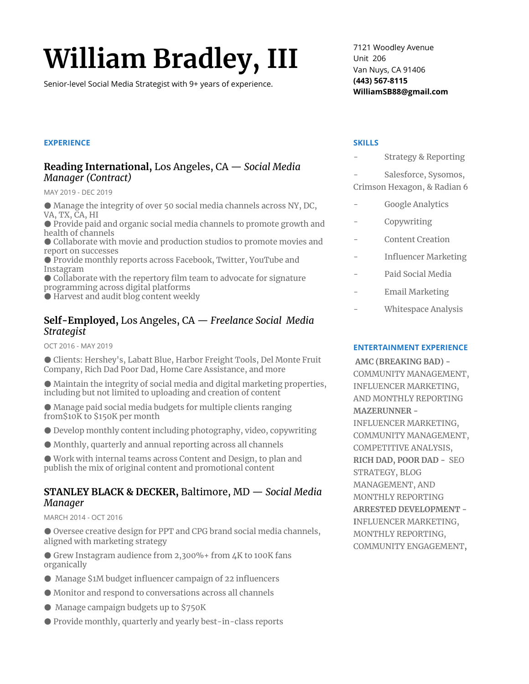# **William Bradley, III**

Senior-level Social Media Strategist with 9+ years of experience.

#### **EXPERIENCE**

## **Reading International,** Los Angeles, CA — *Social Media Manager (Contract)*

MAY 2019 - DEC 2019

● Manage the integrity of over 50 social media channels across NY, DC, VA, TX, CA, HI

● Provide paid and organic social media channels to promote growth and health of channels

● Collaborate with movie and production studios to promote movies and report on successes

● Provide monthly reports across Facebook, Twitter, YouTube and Instagram

● Collaborate with the repertory film team to advocate for signature programming across digital platforms

● Harvest and audit blog content weekly

## **Self-Employed,** Los Angeles, CA — *Freelance Social Media Strategist*

OCT 2016 - MAY 2019

● Clients: Hershey's, Labatt Blue, Harbor Freight Tools, Del Monte Fruit Company, Rich Dad Poor Dad, Home Care Assistance, and more

● Maintain the integrity of social media and digital marketing properties, including but not limited to uploading and creation of content

● Manage paid social media budgets for multiple clients ranging from\$10K to \$150K per month

● Develop monthly content including photography, video, copywriting

● Monthly, quarterly and annual reporting across all channels

● Work with internal teams across Content and Design, to plan and publish the mix of original content and promotional content

## **STANLEY BLACK & DECKER,** Baltimore, MD — *Social Media Manager*

MARCH 2014 - OCT 2016

● Oversee creative design for PPT and CPG brand social media channels, aligned with marketing strategy

● Grew Instagram audience from 2,300%+ from 4K to 100K fans organically

- Manage \$1M budget influencer campaign of 22 influencers
- Monitor and respond to conversations across all channels
- Manage campaign budgets up to \$750K
- Provide monthly, quarterly and yearly best-in-class reports

7121 Woodley Avenue Unit 206 Van Nuys, CA 91406 **(443) 567-8115 WilliamSB88@gmail.com**

#### **SKILLS**

- Strategy & Reporting
- Salesforce, Sysomos, Crimson Hexagon, & Radian 6
- Google Analytics
- Copywriting
- Content Creation
- Influencer Marketing
- Paid Social Media
- Email Marketing
- Whitespace Analysis

#### **ENTERTAINMENT EXPERIENCE**

**AMC (BREAKING BAD) -** COMMUNITY MANAGEMENT, INFLUENCER MARKETING, AND MONTHLY REPORTING **MAZERUNNER -** INFLUENCER MARKETING, COMMUNITY MANAGEMENT, COMPETITIVE ANALYSIS, **RICH DAD, POOR DAD -** SEO STRATEGY, BLOG MANAGEMENT, AND MONTHLY REPORTING **ARRESTED DEVELOPMENT - I**NFLUENCER MARKETING, MONTHLY REPORTING, COMMUNITY ENGAGEMENT**,**